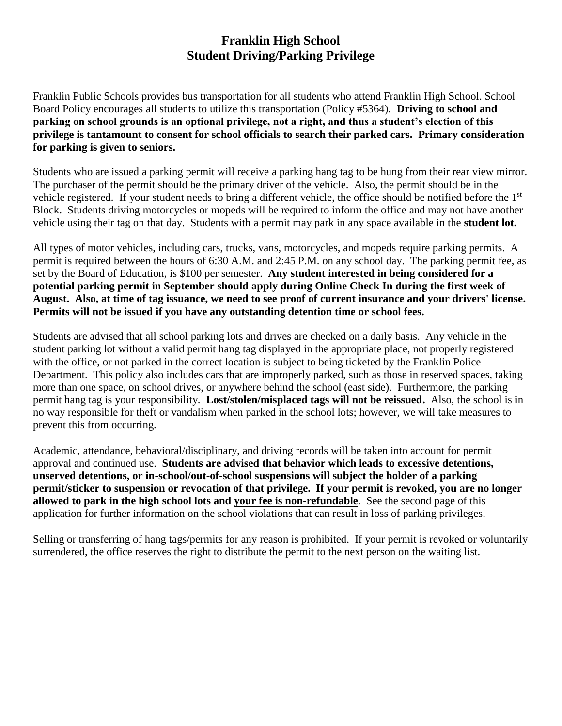### **Franklin High School Student Driving/Parking Privilege**

Franklin Public Schools provides bus transportation for all students who attend Franklin High School. School Board Policy encourages all students to utilize this transportation (Policy #5364). **Driving to school and parking on school grounds is an optional privilege, not a right, and thus a student's election of this privilege is tantamount to consent for school officials to search their parked cars. Primary consideration for parking is given to seniors.**

Students who are issued a parking permit will receive a parking hang tag to be hung from their rear view mirror. The purchaser of the permit should be the primary driver of the vehicle. Also, the permit should be in the vehicle registered. If your student needs to bring a different vehicle, the office should be notified before the 1<sup>st</sup> Block. Students driving motorcycles or mopeds will be required to inform the office and may not have another vehicle using their tag on that day. Students with a permit may park in any space available in the **student lot.**

All types of motor vehicles, including cars, trucks, vans, motorcycles, and mopeds require parking permits. A permit is required between the hours of 6:30 A.M. and 2:45 P.M. on any school day. The parking permit fee, as set by the Board of Education, is \$100 per semester. **Any student interested in being considered for a potential parking permit in September should apply during Online Check In during the first week of August. Also, at time of tag issuance, we need to see proof of current insurance and your drivers' license. Permits will not be issued if you have any outstanding detention time or school fees.**

Students are advised that all school parking lots and drives are checked on a daily basis. Any vehicle in the student parking lot without a valid permit hang tag displayed in the appropriate place, not properly registered with the office, or not parked in the correct location is subject to being ticketed by the Franklin Police Department. This policy also includes cars that are improperly parked, such as those in reserved spaces, taking more than one space, on school drives, or anywhere behind the school (east side). Furthermore, the parking permit hang tag is your responsibility. **Lost/stolen/misplaced tags will not be reissued.** Also, the school is in no way responsible for theft or vandalism when parked in the school lots; however, we will take measures to prevent this from occurring.

Academic, attendance, behavioral/disciplinary, and driving records will be taken into account for permit approval and continued use. **Students are advised that behavior which leads to excessive detentions, unserved detentions, or in-school/out-of-school suspensions will subject the holder of a parking permit/sticker to suspension or revocation of that privilege. If your permit is revoked, you are no longer allowed to park in the high school lots and your fee is non-refundable**. See the second page of this application for further information on the school violations that can result in loss of parking privileges.

Selling or transferring of hang tags/permits for any reason is prohibited. If your permit is revoked or voluntarily surrendered, the office reserves the right to distribute the permit to the next person on the waiting list.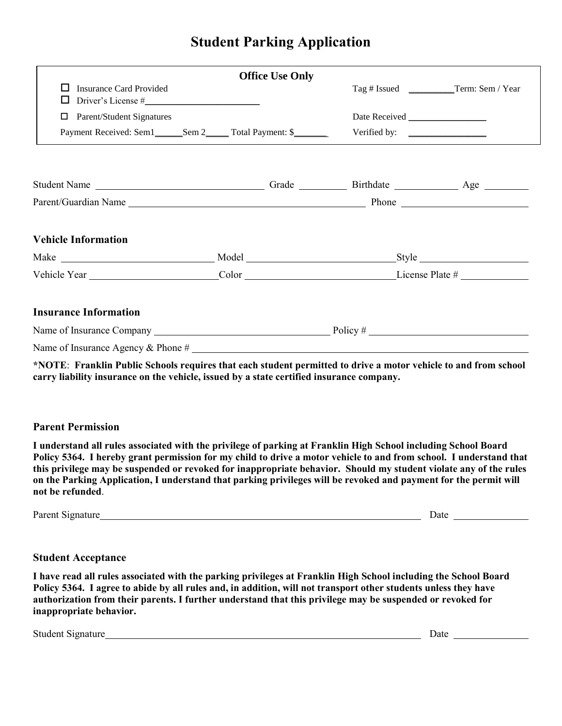# **Student Parking Application**

|                                                                | <b>Office Use Only</b> |                                                                                                                                                                                                                                |                                            |
|----------------------------------------------------------------|------------------------|--------------------------------------------------------------------------------------------------------------------------------------------------------------------------------------------------------------------------------|--------------------------------------------|
| <b>Insurance Card Provided</b><br>$\text{Driver's License} \#$ |                        |                                                                                                                                                                                                                                | Tag # Issued _____________Term: Sem / Year |
| Parent/Student Signatures<br>□                                 |                        |                                                                                                                                                                                                                                |                                            |
|                                                                |                        |                                                                                                                                                                                                                                |                                            |
|                                                                |                        |                                                                                                                                                                                                                                |                                            |
|                                                                |                        |                                                                                                                                                                                                                                |                                            |
|                                                                |                        |                                                                                                                                                                                                                                |                                            |
| <b>Vehicle Information</b>                                     |                        |                                                                                                                                                                                                                                |                                            |
|                                                                |                        |                                                                                                                                                                                                                                |                                            |
|                                                                |                        | Vehicle Year Color Color Color Color Color Color Color Color Color Color Color Color Color Color Color Color Color Color Color Color Color Color Color Color Color Color Color Color Color Color Color Color Color Color Color |                                            |
| <b>Insurance Information</b>                                   |                        |                                                                                                                                                                                                                                |                                            |
| Name of Insurance Company $\frac{1}{2}$ Policy #               |                        |                                                                                                                                                                                                                                |                                            |
|                                                                |                        |                                                                                                                                                                                                                                |                                            |

**\*NOTE**: **Franklin Public Schools requires that each student permitted to drive a motor vehicle to and from school carry liability insurance on the vehicle, issued by a state certified insurance company.**

#### **Parent Permission**

**I understand all rules associated with the privilege of parking at Franklin High School including School Board Policy 5364. I hereby grant permission for my child to drive a motor vehicle to and from school. I understand that this privilege may be suspended or revoked for inappropriate behavior. Should my student violate any of the rules on the Parking Application, I understand that parking privileges will be revoked and payment for the permit will not be refunded**.

Parent Signature Date

#### **Student Acceptance**

**I have read all rules associated with the parking privileges at Franklin High School including the School Board Policy 5364. I agree to abide by all rules and, in addition, will not transport other students unless they have authorization from their parents. I further understand that this privilege may be suspended or revoked for inappropriate behavior.**

Student Signature Date